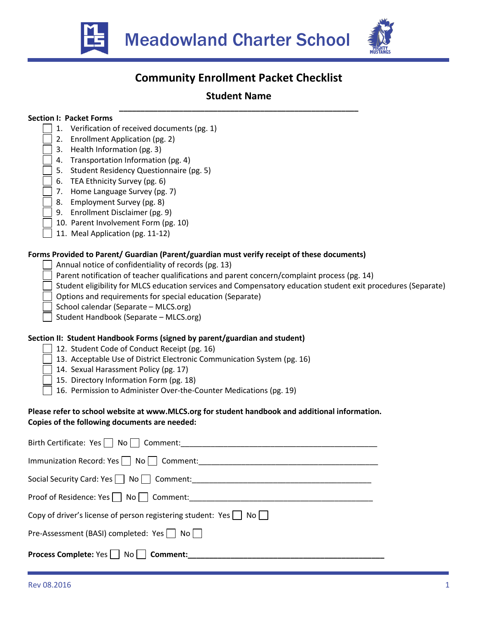



# **Community Enrollment Packet Checklist**

## **Student Name \_\_\_\_\_\_\_\_\_\_\_\_\_\_\_\_\_\_\_\_\_\_\_\_\_\_\_\_\_\_\_\_\_\_\_\_\_\_\_\_\_\_\_\_\_\_\_\_\_\_\_\_\_\_\_\_**

## **Section I: Packet Forms**

- 1.Verification of received documents (pg. 1)
- 2. Enrollment Application (pg. 2)
- 3. Health Information (pg. 3)
- 4. Transportation Information (pg. 4)
- 5. Student Residency Questionnaire (pg. 5)
- 6. TEA Ethnicity Survey (pg. 6)
- 7. Home Language Survey (pg. 7)
- 8. Employment Survey (pg. 8)
- 9. Enrollment Disclaimer (pg. 9)
- 10. Parent Involvement Form (pg. 10)
- 11. Meal Application (pg. 11-12)

## **Forms Provided to Parent/ Guardian (Parent/guardian must verify receipt of these documents)**

- Annual notice of confidentiality of records (pg. 13)
- Parent notification of teacher qualifications and parent concern/complaint process (pg. 14)
- Student eligibility for MLCS education services and Compensatory education student exit procedures (Separate)
- Options and requirements for special education (Separate)
- School calendar (Separate MLCS.org)
- Student Handbook (Separate MLCS.org)

## **Section II: Student Handbook Forms (signed by parent/guardian and student)**

- 12. Student Code of Conduct Receipt (pg. 16)
- 13. Acceptable Use of District Electronic Communication System (pg. 16)
- 14. Sexual Harassment Policy (pg. 17)
- 15. Directory Information Form (pg. 18)
- 16. Permission to Administer Over-the-Counter Medications (pg. 19)

## **Please refer to school website at www.MLCS.org for student handbook and additional information. Copies of the following documents are needed:**

| Birth Certificate: Yes     No     Comment:                                       |
|----------------------------------------------------------------------------------|
| Immunization Record: Yes     No     Comment:                                     |
| Social Security Card: Yes No Comment:                                            |
| Proof of Residence: Yes   No   Comment:                                          |
| Copy of driver's license of person registering student: Yes $\vert$   No $\vert$ |
| Pre-Assessment (BASI) completed: Yes     No                                      |
| <b>Process Complete: Yes No Comment:</b> Comment:                                |
|                                                                                  |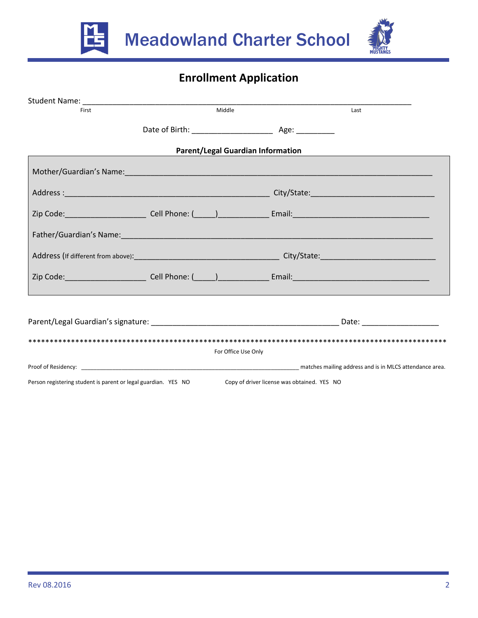



# **Enrollment Application**

| First                                                          | Middle                                   |                                             | Last                                                                                                                                                                                                                           |
|----------------------------------------------------------------|------------------------------------------|---------------------------------------------|--------------------------------------------------------------------------------------------------------------------------------------------------------------------------------------------------------------------------------|
|                                                                |                                          |                                             |                                                                                                                                                                                                                                |
|                                                                | <b>Parent/Legal Guardian Information</b> |                                             |                                                                                                                                                                                                                                |
|                                                                |                                          |                                             |                                                                                                                                                                                                                                |
|                                                                |                                          |                                             |                                                                                                                                                                                                                                |
|                                                                |                                          |                                             |                                                                                                                                                                                                                                |
|                                                                |                                          |                                             |                                                                                                                                                                                                                                |
|                                                                |                                          |                                             |                                                                                                                                                                                                                                |
|                                                                |                                          |                                             |                                                                                                                                                                                                                                |
|                                                                |                                          |                                             |                                                                                                                                                                                                                                |
|                                                                |                                          |                                             |                                                                                                                                                                                                                                |
|                                                                |                                          |                                             |                                                                                                                                                                                                                                |
|                                                                | For Office Use Only                      |                                             |                                                                                                                                                                                                                                |
|                                                                |                                          |                                             | Proof of Residency: The Company of the Company of the Company of the Company of the Company of the Company of the Company of the Company of the Company of the Company of the Company of the Company of the Company of the Com |
| Person registering student is parent or legal guardian. YES NO |                                          | Copy of driver license was obtained. YES NO |                                                                                                                                                                                                                                |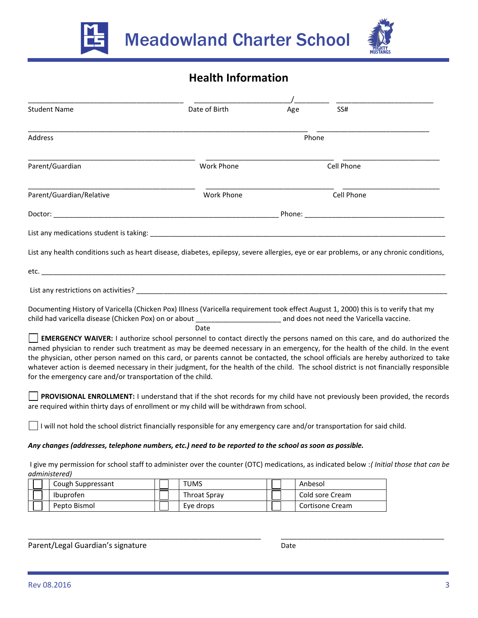



# **Health Information**

| <b>Student Name</b>                                                                                                                                                                                                                                                                                                                                                                                                                                                          | Date of Birth                                                                                                                   | Age   | SS#        |  |
|------------------------------------------------------------------------------------------------------------------------------------------------------------------------------------------------------------------------------------------------------------------------------------------------------------------------------------------------------------------------------------------------------------------------------------------------------------------------------|---------------------------------------------------------------------------------------------------------------------------------|-------|------------|--|
| Address                                                                                                                                                                                                                                                                                                                                                                                                                                                                      |                                                                                                                                 | Phone |            |  |
| Parent/Guardian                                                                                                                                                                                                                                                                                                                                                                                                                                                              | <b>Work Phone</b>                                                                                                               |       | Cell Phone |  |
| Parent/Guardian/Relative                                                                                                                                                                                                                                                                                                                                                                                                                                                     | <b>Work Phone</b>                                                                                                               |       | Cell Phone |  |
|                                                                                                                                                                                                                                                                                                                                                                                                                                                                              |                                                                                                                                 |       |            |  |
|                                                                                                                                                                                                                                                                                                                                                                                                                                                                              |                                                                                                                                 |       |            |  |
| List any health conditions such as heart disease, diabetes, epilepsy, severe allergies, eye or ear problems, or any chronic conditions,                                                                                                                                                                                                                                                                                                                                      |                                                                                                                                 |       |            |  |
|                                                                                                                                                                                                                                                                                                                                                                                                                                                                              |                                                                                                                                 |       |            |  |
|                                                                                                                                                                                                                                                                                                                                                                                                                                                                              |                                                                                                                                 |       |            |  |
| Documenting History of Varicella (Chicken Pox) Illness (Varicella requirement took effect August 1, 2000) this is to verify that my                                                                                                                                                                                                                                                                                                                                          | Date                                                                                                                            |       |            |  |
| named physician to render such treatment as may be deemed necessary in an emergency, for the health of the child. In the event<br>the physician, other person named on this card, or parents cannot be contacted, the school officials are hereby authorized to take<br>whatever action is deemed necessary in their judgment, for the health of the child. The school district is not financially responsible<br>for the emergency care and/or transportation of the child. | <b>EMERGENCY WAIVER:</b> I authorize school personnel to contact directly the persons named on this care, and do authorized the |       |            |  |
| are required within thirty days of enrollment or my child will be withdrawn from school.                                                                                                                                                                                                                                                                                                                                                                                     | PROVISIONAL ENROLLMENT: I understand that if the shot records for my child have not previously been provided, the records       |       |            |  |
| $\vert \ \vert$ I will not hold the school district financially responsible for any emergency care and/or transportation for said child.                                                                                                                                                                                                                                                                                                                                     |                                                                                                                                 |       |            |  |
| Any changes (addresses, telephone numbers, etc.) need to be reported to the school as soon as possible.                                                                                                                                                                                                                                                                                                                                                                      |                                                                                                                                 |       |            |  |
| I give my permission for school staff to administer over the counter (OTC) medications, as indicated below: (Initial those that can be<br>administered)                                                                                                                                                                                                                                                                                                                      |                                                                                                                                 |       |            |  |

| Cough Suppressant | <b>TUMS</b>         | Anbesol         |
|-------------------|---------------------|-----------------|
| Ibuprofen         | <b>Throat Spray</b> | Cold sore Cream |
| Pepto Bismol      | Eye drops           | Cortisone Cream |

\_\_\_\_\_\_\_\_\_\_\_\_\_\_\_\_\_\_\_\_\_\_\_\_\_\_\_\_\_\_\_\_\_\_\_\_\_\_\_\_\_\_\_\_\_\_\_\_\_\_\_\_\_\_\_\_\_\_\_\_ \_\_\_\_\_\_\_\_\_\_\_\_\_\_\_\_\_\_\_\_\_\_\_\_\_\_\_\_\_\_\_\_\_\_\_\_\_\_\_\_\_\_

Parent/Legal Guardian's signature development of the Date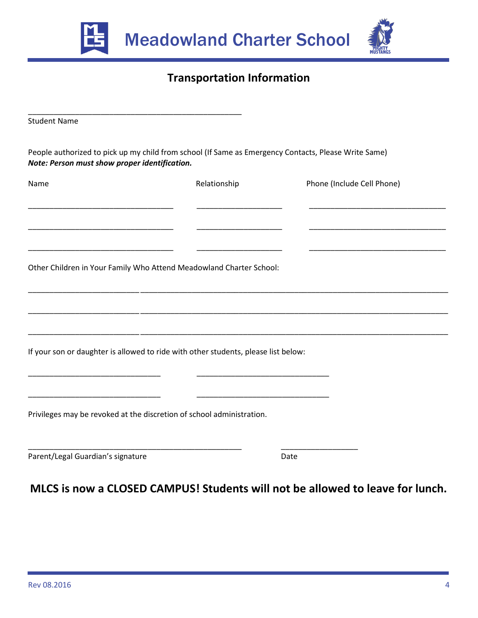



## **Transportation Information**

| <b>Student Name</b>                                                                                                                                   |              |                            |
|-------------------------------------------------------------------------------------------------------------------------------------------------------|--------------|----------------------------|
| People authorized to pick up my child from school (If Same as Emergency Contacts, Please Write Same)<br>Note: Person must show proper identification. |              |                            |
| Name                                                                                                                                                  | Relationship | Phone (Include Cell Phone) |
|                                                                                                                                                       |              |                            |
| Other Children in Your Family Who Attend Meadowland Charter School:                                                                                   |              |                            |
|                                                                                                                                                       |              |                            |
| If your son or daughter is allowed to ride with other students, please list below:                                                                    |              |                            |
|                                                                                                                                                       |              |                            |
| Privileges may be revoked at the discretion of school administration.                                                                                 |              |                            |
| Parent/Legal Guardian's signature                                                                                                                     |              | Date                       |

# **MLCS is now a CLOSED CAMPUS! Students will not be allowed to leave for lunch.**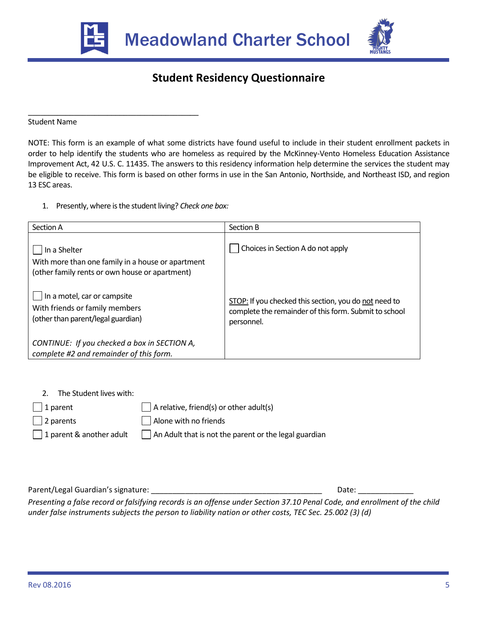

\_\_\_\_\_\_\_\_\_\_\_\_\_\_\_\_\_\_\_\_\_\_\_\_\_\_\_\_\_\_\_\_\_\_\_\_\_\_\_\_\_



# **Student Residency Questionnaire**

Student Name

NOTE: This form is an example of what some districts have found useful to include in their student enrollment packets in order to help identify the students who are homeless as required by the McKinney-Vento Homeless Education Assistance Improvement Act, 42 U.S. C. 11435. The answers to this residency information help determine the services the student may be eligible to receive. This form is based on other forms in use in the San Antonio, Northside, and Northeast ISD, and region 13 ESC areas.

1. Presently, where is the student living? *Check one box:*

| Section A                                                                                                           | Section B                                                                                                                    |
|---------------------------------------------------------------------------------------------------------------------|------------------------------------------------------------------------------------------------------------------------------|
| In a Shelter<br>With more than one family in a house or apartment<br>(other family rents or own house or apartment) | Choices in Section A do not apply                                                                                            |
| In a motel, car or campsite<br>With friends or family members<br>(other than parent/legal guardian)                 | STOP: If you checked this section, you do not need to<br>complete the remainder of this form. Submit to school<br>personnel. |
| CONTINUE: If you checked a box in SECTION A,<br>complete #2 and remainder of this form.                             |                                                                                                                              |

2. The Student lives with:

1 parent

2 parents

1 parent & another adult

 $\Box$  A relative, friend(s) or other adult(s) Alone with no friends  $\Box$  An Adult that is not the parent or the legal guardian

Parent/Legal Guardian's signature: \_\_\_\_\_\_\_\_\_\_\_\_\_\_\_\_\_\_\_\_\_\_\_\_\_\_\_\_\_\_\_\_\_\_\_\_\_\_\_\_ Date: \_\_\_\_\_\_\_\_\_\_\_\_\_

*Presenting a false record or falsifying records is an offense under Section 37.10 Penal Code, and enrollment of the child under false instruments subjects the person to liability nation or other costs, TEC Sec. 25.002 (3) (d)*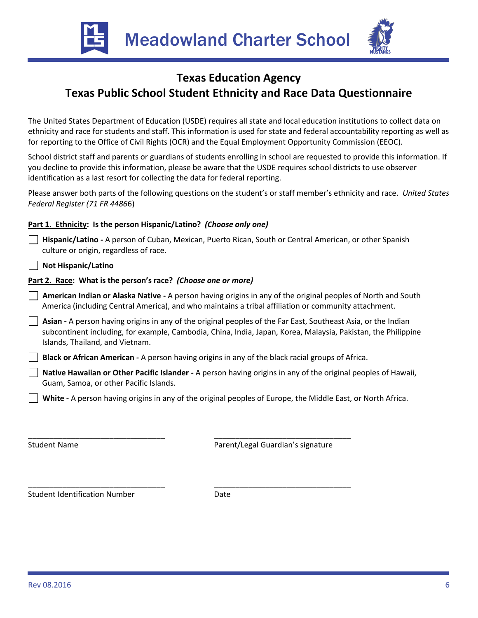Meadowland Charter School



## **Texas Education Agency Texas Public School Student Ethnicity and Race Data Questionnaire**

The United States Department of Education (USDE) requires all state and local education institutions to collect data on ethnicity and race for students and staff. This information is used for state and federal accountability reporting as well as for reporting to the Office of Civil Rights (OCR) and the Equal Employment Opportunity Commission (EEOC).

School district staff and parents or guardians of students enrolling in school are requested to provide this information. If you decline to provide this information, please be aware that the USDE requires school districts to use observer identification as a last resort for collecting the data for federal reporting.

Please answer both parts of the following questions on the student's or staff member's ethnicity and race. *United States Federal Register (71 FR 4486*6)

## **Part 1. Ethnicity: Is the person Hispanic/Latino?** *(Choose only one)*

 **Hispanic/Latino -** A person of Cuban, Mexican, Puerto Rican, South or Central American, or other Spanish culture or origin, regardless of race.

 **Not Hispanic/Latino**

## **Part 2. Race: What is the person's race?** *(Choose one or more)*

- **American Indian or Alaska Native -** A person having origins in any of the original peoples of North and South America (including Central America), and who maintains a tribal affiliation or community attachment.
- **Asian -** A person having origins in any of the original peoples of the Far East, Southeast Asia, or the Indian subcontinent including, for example, Cambodia, China, India, Japan, Korea, Malaysia, Pakistan, the Philippine Islands, Thailand, and Vietnam.

 **Black or African American -** A person having origins in any of the black racial groups of Africa.

 **Native Hawaiian or Other Pacific Islander -** A person having origins in any of the original peoples of Hawaii, Guam, Samoa, or other Pacific Islands.

 **White -** A person having origins in any of the original peoples of Europe, the Middle East, or North Africa.

Student Name

Parent/Legal Guardian's signature

\_\_\_\_\_\_\_\_\_\_\_\_\_\_\_\_\_\_\_\_\_\_\_\_\_\_\_\_\_\_\_\_

\_\_\_\_\_\_\_\_\_\_\_\_\_\_\_\_\_\_\_\_\_\_\_\_\_\_\_\_\_\_\_\_

Student Identification Number

\_\_\_\_\_\_\_\_\_\_\_\_\_\_\_\_\_\_\_\_\_\_\_\_\_\_\_\_\_\_\_\_

\_\_\_\_\_\_\_\_\_\_\_\_\_\_\_\_\_\_\_\_\_\_\_\_\_\_\_\_\_\_\_\_

Date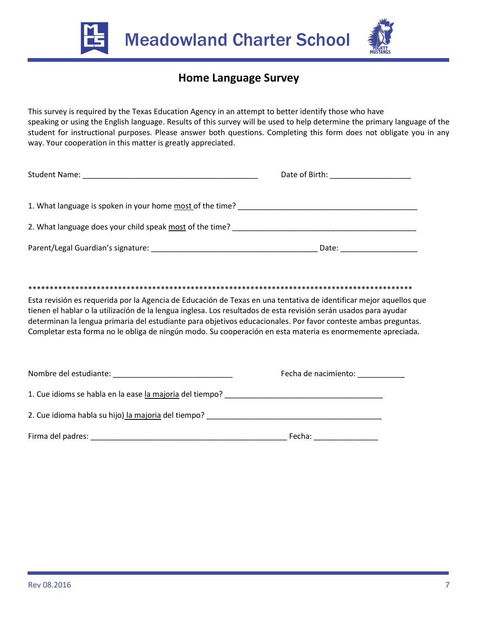



# **Home Language Survey**

This survey is required by the Texas Education Agency in an attempt to better identify those who have speaking or using the English language. Results of this survey will be used to help determine the primary language of the student for instructional purposes. Please answer both questions. Completing this form does not obligate you in any way. Your cooperation in this matter is greatly appreciated.

|                                                                                                                    | Date of Birth: ________________________ |  |  |  |  |  |
|--------------------------------------------------------------------------------------------------------------------|-----------------------------------------|--|--|--|--|--|
|                                                                                                                    |                                         |  |  |  |  |  |
|                                                                                                                    |                                         |  |  |  |  |  |
|                                                                                                                    | Date: ___________________               |  |  |  |  |  |
|                                                                                                                    |                                         |  |  |  |  |  |
|                                                                                                                    |                                         |  |  |  |  |  |
| Esta revisión es requerida por la Agencia de Educación de Texas en una tentativa de identificar mejor aquellos que |                                         |  |  |  |  |  |

tienen el hablar o la utilización de la lengua inglesa. Los resultados de esta revisión serán usados para ayudar determinan la lengua primaria del estudiante para objetivos educacionales. Por favor conteste ambas preguntas. Completar esta forma no le obliga de ningún modo. Su cooperación en esta materia es enormemente apreciada.

| Nombre del estudiante:<br><u> and the state of the state of the state of the state of the state of the state of the state of the state of the state of the state of the state of the state of the state of the state of the state </u> | Fecha de nacimiento: |  |
|----------------------------------------------------------------------------------------------------------------------------------------------------------------------------------------------------------------------------------------|----------------------|--|
| 1. Cue idioms se habla en la ease la majoria del tiempo?                                                                                                                                                                               |                      |  |
| 2. Cue idioma habla su hijo) la majoria del tiempo?                                                                                                                                                                                    |                      |  |
| Firma del padres:                                                                                                                                                                                                                      | Fecha:               |  |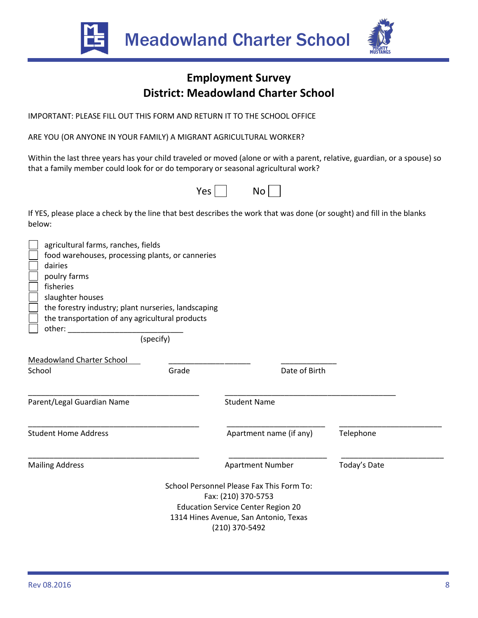



# **Employment Survey District: Meadowland Charter School**

IMPORTANT: PLEASE FILL OUT THIS FORM AND RETURN IT TO THE SCHOOL OFFICE

ARE YOU (OR ANYONE IN YOUR FAMILY) A MIGRANT AGRICULTURAL WORKER?

Within the last three years has your child traveled or moved (alone or with a parent, relative, guardian, or a spouse) so that a family member could look for or do temporary or seasonal agricultural work?



If YES, please place a check by the line that best describes the work that was done (or sought) and fill in the blanks below:

| agricultural farms, ranches, fields<br>dairies<br>poulry farms<br>fisheries | food warehouses, processing plants, or canneries    |                                           |              |
|-----------------------------------------------------------------------------|-----------------------------------------------------|-------------------------------------------|--------------|
| slaughter houses                                                            |                                                     |                                           |              |
|                                                                             | the forestry industry; plant nurseries, landscaping |                                           |              |
|                                                                             | the transportation of any agricultural products     |                                           |              |
| other:                                                                      | (specify)                                           |                                           |              |
| <b>Meadowland Charter School</b>                                            |                                                     |                                           |              |
| School                                                                      | Grade                                               | Date of Birth                             |              |
| Parent/Legal Guardian Name                                                  |                                                     | <b>Student Name</b>                       |              |
| <b>Student Home Address</b>                                                 |                                                     | Apartment name (if any)                   | Telephone    |
| <b>Mailing Address</b>                                                      |                                                     | <b>Apartment Number</b>                   | Today's Date |
|                                                                             |                                                     | School Personnel Please Fax This Form To: |              |
|                                                                             |                                                     | Fax: (210) 370-5753                       |              |
|                                                                             |                                                     | <b>Education Service Center Region 20</b> |              |
|                                                                             |                                                     | 1314 Hines Avenue, San Antonio, Texas     |              |
|                                                                             |                                                     | (210) 370-5492                            |              |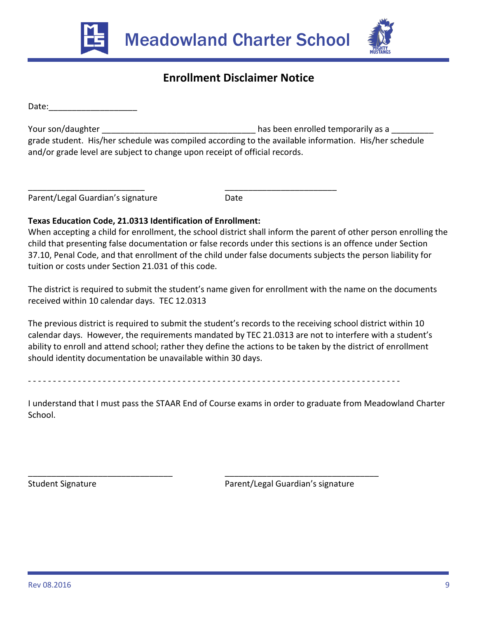



# **Enrollment Disclaimer Notice**

Date:

Your son/daughter  $\qquad \qquad \qquad \qquad \qquad$  has been enrolled temporarily as a \_\_\_\_\_\_\_\_\_ grade student. His/her schedule was compiled according to the available information. His/her schedule and/or grade level are subject to change upon receipt of official records.

\_\_\_\_\_\_\_\_\_\_\_\_\_\_\_\_\_\_\_\_\_\_\_\_\_ \_\_\_\_\_\_\_\_\_\_\_\_\_\_\_\_\_\_\_\_\_\_\_\_ Parent/Legal Guardian's signature **Example 2018** Date

## **Texas Education Code, 21.0313 Identification of Enrollment:**

When accepting a child for enrollment, the school district shall inform the parent of other person enrolling the child that presenting false documentation or false records under this sections is an offence under Section 37.10, Penal Code, and that enrollment of the child under false documents subjects the person liability for tuition or costs under Section 21.031 of this code.

The district is required to submit the student's name given for enrollment with the name on the documents received within 10 calendar days. TEC 12.0313

The previous district is required to submit the student's records to the receiving school district within 10 calendar days. However, the requirements mandated by TEC 21.0313 are not to interfere with a student's ability to enroll and attend school; rather they define the actions to be taken by the district of enrollment should identity documentation be unavailable within 30 days.

- - - - - - - - - - - - - - - - - - - - - - - - - - - - - - - - - - - - - - - - - - - - - - - - - - - - - - - - - - - - - - - - - - - - - - - - - - -

I understand that I must pass the STAAR End of Course exams in order to graduate from Meadowland Charter School.

\_\_\_\_\_\_\_\_\_\_\_\_\_\_\_\_\_\_\_\_\_\_\_\_\_\_\_\_\_\_\_ \_\_\_\_\_\_\_\_\_\_\_\_\_\_\_\_\_\_\_\_\_\_\_\_\_\_\_\_\_\_\_\_\_ Student Signature Parent/Legal Guardian's signature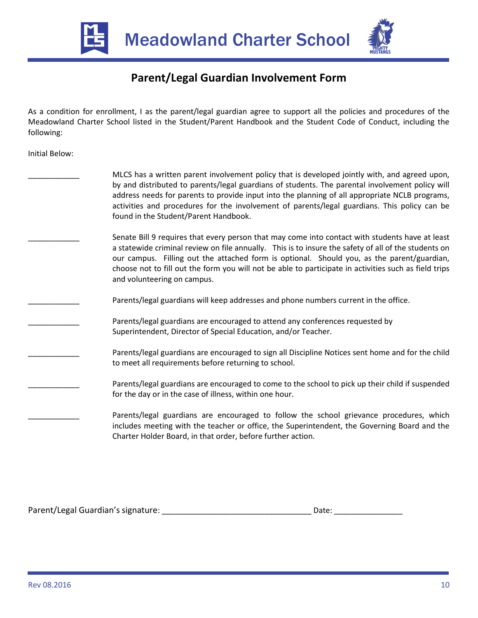



# **Parent/Legal Guardian Involvement Form**

As a condition for enrollment, I as the parent/legal guardian agree to support all the policies and procedures of the Meadowland Charter School listed in the Student/Parent Handbook and the Student Code of Conduct, including the following:

Initial Below:

| MLCS has a written parent involvement policy that is developed jointly with, and agreed upon,<br>by and distributed to parents/legal guardians of students. The parental involvement policy will<br>address needs for parents to provide input into the planning of all appropriate NCLB programs,<br>activities and procedures for the involvement of parents/legal guardians. This policy can be<br>found in the Student/Parent Handbook.   |
|-----------------------------------------------------------------------------------------------------------------------------------------------------------------------------------------------------------------------------------------------------------------------------------------------------------------------------------------------------------------------------------------------------------------------------------------------|
| Senate Bill 9 requires that every person that may come into contact with students have at least<br>a statewide criminal review on file annually. This is to insure the safety of all of the students on<br>our campus. Filling out the attached form is optional. Should you, as the parent/guardian,<br>choose not to fill out the form you will not be able to participate in activities such as field trips<br>and volunteering on campus. |
| Parents/legal guardians will keep addresses and phone numbers current in the office.                                                                                                                                                                                                                                                                                                                                                          |
| Parents/legal guardians are encouraged to attend any conferences requested by<br>Superintendent, Director of Special Education, and/or Teacher.                                                                                                                                                                                                                                                                                               |
| Parents/legal guardians are encouraged to sign all Discipline Notices sent home and for the child<br>to meet all requirements before returning to school.                                                                                                                                                                                                                                                                                     |
| Parents/legal guardians are encouraged to come to the school to pick up their child if suspended<br>for the day or in the case of illness, within one hour.                                                                                                                                                                                                                                                                                   |
| Parents/legal guardians are encouraged to follow the school grievance procedures, which<br>includes meeting with the teacher or office, the Superintendent, the Governing Board and the<br>Charter Holder Board, in that order, before further action.                                                                                                                                                                                        |

Parent/Legal Guardian's signature: \_\_\_\_\_\_\_\_\_\_\_\_\_\_\_\_\_\_\_\_\_\_\_\_\_\_\_\_\_\_\_\_\_\_\_ Date: \_\_\_\_\_\_\_\_\_\_\_\_\_\_\_\_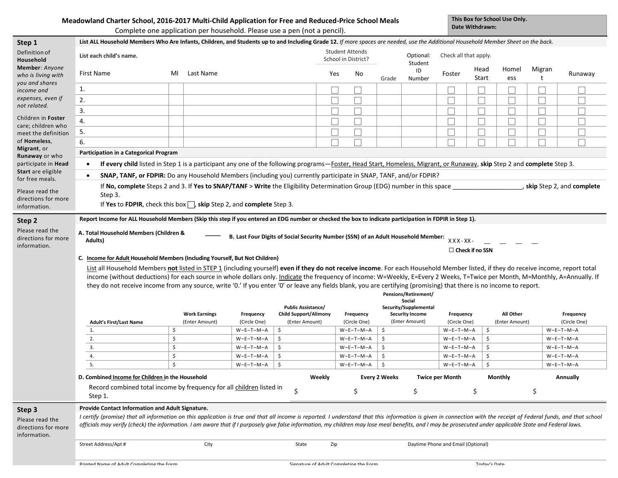#### **Meadowland Charter School, 2016-2017 Multi-Child Application for Free and Reduced-Price School Meals**

**This Box for School Use Only. Date Withdrawn:**

|                                                                  |                                                                                                                                                                                                                                                                                                                                                                                                                                                                                                                                                                                                                                                                                                                                                                                                                                                                                                                                                                                                  | Complete one application per household. Please use a pen (not a pencil).                                                                                                                                                                                                                    |                            |                                                |                                               |                      |                                                 | Dale Williurawii.                  |                           |                             |                             |                             |
|------------------------------------------------------------------|--------------------------------------------------------------------------------------------------------------------------------------------------------------------------------------------------------------------------------------------------------------------------------------------------------------------------------------------------------------------------------------------------------------------------------------------------------------------------------------------------------------------------------------------------------------------------------------------------------------------------------------------------------------------------------------------------------------------------------------------------------------------------------------------------------------------------------------------------------------------------------------------------------------------------------------------------------------------------------------------------|---------------------------------------------------------------------------------------------------------------------------------------------------------------------------------------------------------------------------------------------------------------------------------------------|----------------------------|------------------------------------------------|-----------------------------------------------|----------------------|-------------------------------------------------|------------------------------------|---------------------------|-----------------------------|-----------------------------|-----------------------------|
| Step 1                                                           | List ALL Household Members Who Are Infants, Children, and Students up to and Including Grade 12. If more spaces are needed, use the Additional Household Member Sheet on the back.                                                                                                                                                                                                                                                                                                                                                                                                                                                                                                                                                                                                                                                                                                                                                                                                               |                                                                                                                                                                                                                                                                                             |                            |                                                |                                               |                      |                                                 |                                    |                           |                             |                             |                             |
| Definition of<br>Household                                       | List each child's name.                                                                                                                                                                                                                                                                                                                                                                                                                                                                                                                                                                                                                                                                                                                                                                                                                                                                                                                                                                          |                                                                                                                                                                                                                                                                                             |                            |                                                | <b>Student Attends</b><br>School in District? | Optional:<br>Student | Check all that apply.                           |                                    |                           |                             |                             |                             |
| Member: Anyone<br>who is living with                             | First Name                                                                                                                                                                                                                                                                                                                                                                                                                                                                                                                                                                                                                                                                                                                                                                                                                                                                                                                                                                                       | Last Name<br>ML                                                                                                                                                                                                                                                                             |                            |                                                | Yes<br>No                                     | Grade                | ID<br>Number                                    | Foster                             | Head<br>Start             | Homel<br>ess                | Migran                      | Runaway                     |
| you and shares<br>income and                                     | 1.                                                                                                                                                                                                                                                                                                                                                                                                                                                                                                                                                                                                                                                                                                                                                                                                                                                                                                                                                                                               |                                                                                                                                                                                                                                                                                             |                            |                                                |                                               |                      |                                                 |                                    |                           |                             |                             |                             |
| expenses, even if                                                | 2.                                                                                                                                                                                                                                                                                                                                                                                                                                                                                                                                                                                                                                                                                                                                                                                                                                                                                                                                                                                               |                                                                                                                                                                                                                                                                                             |                            |                                                | $\Box$                                        |                      |                                                 | L.                                 |                           | $\Box$                      | $\mathcal{L}_{\mathcal{A}}$ |                             |
| not related.                                                     | 3.                                                                                                                                                                                                                                                                                                                                                                                                                                                                                                                                                                                                                                                                                                                                                                                                                                                                                                                                                                                               |                                                                                                                                                                                                                                                                                             |                            |                                                | $\Box$                                        |                      |                                                 | $\mathcal{L}$                      |                           | $\mathcal{L}_{\mathcal{A}}$ | $\overline{\phantom{0}}$    |                             |
| Children in Foster                                               | 4.                                                                                                                                                                                                                                                                                                                                                                                                                                                                                                                                                                                                                                                                                                                                                                                                                                                                                                                                                                                               |                                                                                                                                                                                                                                                                                             |                            |                                                | $\overline{\phantom{a}}$                      |                      |                                                 | $\overline{\phantom{a}}$           | L                         | $\Box$                      | $\Box$                      |                             |
| care; children who<br>meet the definition                        | 5.                                                                                                                                                                                                                                                                                                                                                                                                                                                                                                                                                                                                                                                                                                                                                                                                                                                                                                                                                                                               |                                                                                                                                                                                                                                                                                             |                            |                                                | $\Box$                                        |                      |                                                 |                                    |                           | □                           | $\overline{\phantom{a}}$    |                             |
| of <b>Homeless</b> ,                                             | 6.                                                                                                                                                                                                                                                                                                                                                                                                                                                                                                                                                                                                                                                                                                                                                                                                                                                                                                                                                                                               |                                                                                                                                                                                                                                                                                             |                            |                                                | $\overline{\phantom{a}}$                      |                      |                                                 | Г                                  | П                         | $\Box$                      | $\Box$                      |                             |
| Migrant, or<br><b>Runaway</b> or who                             | Participation in a Categorical Program                                                                                                                                                                                                                                                                                                                                                                                                                                                                                                                                                                                                                                                                                                                                                                                                                                                                                                                                                           |                                                                                                                                                                                                                                                                                             |                            |                                                |                                               |                      |                                                 |                                    |                           |                             |                             |                             |
| participate in Head                                              |                                                                                                                                                                                                                                                                                                                                                                                                                                                                                                                                                                                                                                                                                                                                                                                                                                                                                                                                                                                                  |                                                                                                                                                                                                                                                                                             |                            |                                                |                                               |                      |                                                 |                                    |                           |                             |                             |                             |
| <b>Start</b> are eligible                                        |                                                                                                                                                                                                                                                                                                                                                                                                                                                                                                                                                                                                                                                                                                                                                                                                                                                                                                                                                                                                  | If every child listed in Step 1 is a participant any one of the following programs—Foster, Head Start, Homeless, Migrant, or Runaway, skip Step 2 and complete Step 3.<br>SNAP, TANF, or FDPIR: Do any Household Members (including you) currently participate in SNAP, TANF, and/or FDPIR? |                            |                                                |                                               |                      |                                                 |                                    |                           |                             |                             |                             |
| for free meals.                                                  |                                                                                                                                                                                                                                                                                                                                                                                                                                                                                                                                                                                                                                                                                                                                                                                                                                                                                                                                                                                                  | If No, complete Steps 2 and 3. If Yes to SNAP/TANF > Write the Eligibility Determination Group (EDG) number in this space                                                                                                                                                                   |                            |                                                |                                               |                      |                                                 |                                    |                           |                             |                             | , skip Step 2, and complete |
| Please read the                                                  | Step 3.                                                                                                                                                                                                                                                                                                                                                                                                                                                                                                                                                                                                                                                                                                                                                                                                                                                                                                                                                                                          |                                                                                                                                                                                                                                                                                             |                            |                                                |                                               |                      |                                                 |                                    |                           |                             |                             |                             |
| directions for more<br>information.                              |                                                                                                                                                                                                                                                                                                                                                                                                                                                                                                                                                                                                                                                                                                                                                                                                                                                                                                                                                                                                  | If Yes to FDPIR, check this box $\Box$ , skip Step 2, and complete Step 3.                                                                                                                                                                                                                  |                            |                                                |                                               |                      |                                                 |                                    |                           |                             |                             |                             |
| Please read the<br>directions for more<br>information.           | Report Income for ALL Household Members (Skip this step if you entered an EDG number or checked the box to indicate participation in FDPIR in Step 1).<br>A. Total Household Members (Children &<br>B. Last Four Digits of Social Security Number (SSN) of an Adult Household Member:<br>$XXX - XX -$<br>Adults)<br>$\Box$ Check if no SSN<br>C. Income for Adult Household Members (Including Yourself, But Not Children)<br>List all Household Members not listed in STEP 1 (including yourself) even if they do not receive income. For each Household Member listed, if they do receive income, report total<br>income (without deductions) for each source in whole dollars only. Indicate the frequency of income: W=Weekly, E=Every 2 Weeks, T=Twice per Month, M=Monthly, A=Annually. If<br>they do not receive income from any source, write '0.' If you enter '0' or leave any fields blank, you are certifying (promising) that there is no income to report.<br>Pensions/Retirement/ |                                                                                                                                                                                                                                                                                             |                            |                                                |                                               |                      |                                                 |                                    |                           |                             |                             |                             |
|                                                                  |                                                                                                                                                                                                                                                                                                                                                                                                                                                                                                                                                                                                                                                                                                                                                                                                                                                                                                                                                                                                  | <b>Work Earnings</b>                                                                                                                                                                                                                                                                        |                            | <b>Public Assistance/</b>                      |                                               |                      | Security/Supplemental<br><b>Security Income</b> |                                    |                           | <b>All Other</b>            |                             |                             |
|                                                                  | <b>Adult's First/Last Name</b>                                                                                                                                                                                                                                                                                                                                                                                                                                                                                                                                                                                                                                                                                                                                                                                                                                                                                                                                                                   | (Enter Amount)                                                                                                                                                                                                                                                                              | Frequency<br>(Circle One)  | <b>Child Support/Alimony</b><br>(Enter Amount) | Frequency<br>(Circle One)                     |                      | (Enter Amount)                                  | Frequency<br>(Circle One)          |                           | (Enter Amount)              |                             | Frequency<br>(Circle One)   |
|                                                                  | 1.                                                                                                                                                                                                                                                                                                                                                                                                                                                                                                                                                                                                                                                                                                                                                                                                                                                                                                                                                                                               | \$                                                                                                                                                                                                                                                                                          | $W-E-T-M-A$                | \$                                             | $W-E-T-M-A$                                   | \$                   |                                                 | $W-E-T-M-A$                        | \$                        |                             |                             | $W-E-T-M-A$                 |
|                                                                  | 2.                                                                                                                                                                                                                                                                                                                                                                                                                                                                                                                                                                                                                                                                                                                                                                                                                                                                                                                                                                                               | \$                                                                                                                                                                                                                                                                                          | $W-E-T-M-A$                | \$                                             | $W-E-T-M-A$                                   | \$                   |                                                 | $W-E-T-M-A$                        | \$                        |                             |                             | $W-E-T-M-A$                 |
|                                                                  | 3.<br>4.                                                                                                                                                                                                                                                                                                                                                                                                                                                                                                                                                                                                                                                                                                                                                                                                                                                                                                                                                                                         | Ś<br>\$                                                                                                                                                                                                                                                                                     | $W-E-T-M-A$<br>$W-E-T-M-A$ | Ś.<br>\$                                       | $W-E-T-M-A$<br>$W-E-T-M-A$                    | \$<br>\$             |                                                 | $W-E-T-M-A$<br>W-E-T-M-A           | \$<br>$\ddot{\mathsf{S}}$ |                             |                             | $W-E-T-M-A$<br>$W-E-T-M-A$  |
|                                                                  | 5.                                                                                                                                                                                                                                                                                                                                                                                                                                                                                                                                                                                                                                                                                                                                                                                                                                                                                                                                                                                               | \$                                                                                                                                                                                                                                                                                          | $W-E-T-M-A$                | \$                                             | $W-E-T-M-A$                                   | \$                   |                                                 | $W-E-T-M-A$                        | \$                        |                             |                             |                             |
|                                                                  |                                                                                                                                                                                                                                                                                                                                                                                                                                                                                                                                                                                                                                                                                                                                                                                                                                                                                                                                                                                                  |                                                                                                                                                                                                                                                                                             |                            |                                                |                                               |                      |                                                 |                                    |                           |                             |                             |                             |
|                                                                  |                                                                                                                                                                                                                                                                                                                                                                                                                                                                                                                                                                                                                                                                                                                                                                                                                                                                                                                                                                                                  |                                                                                                                                                                                                                                                                                             |                            |                                                |                                               |                      |                                                 |                                    |                           |                             |                             | $W-E-T-M-A$                 |
|                                                                  | Step 1.                                                                                                                                                                                                                                                                                                                                                                                                                                                                                                                                                                                                                                                                                                                                                                                                                                                                                                                                                                                          | D. Combined Income for Children in the Household<br>Record combined total income by frequency for all children listed in                                                                                                                                                                    |                            | Weekly<br>Ś.                                   | \$                                            | <b>Every 2 Weeks</b> | \$                                              | <b>Twice per Month</b>             | \$                        | Monthly                     | \$                          | Annually                    |
|                                                                  | Provide Contact Information and Adult Signature.                                                                                                                                                                                                                                                                                                                                                                                                                                                                                                                                                                                                                                                                                                                                                                                                                                                                                                                                                 |                                                                                                                                                                                                                                                                                             |                            |                                                |                                               |                      |                                                 |                                    |                           |                             |                             |                             |
| Step 3<br>Please read the<br>directions for more<br>information. | I certify (promise) that all information on this application is true and that all income is reported. I understand that this information is given in connection with the receipt of Federal funds, and that school<br>officials may verify (check) the information. I am aware that if I purposely give false information, my children may lose meal benefits, and I may be prosecuted under applicable State and Federal laws.                                                                                                                                                                                                                                                                                                                                                                                                                                                                                                                                                                  |                                                                                                                                                                                                                                                                                             |                            |                                                |                                               |                      |                                                 |                                    |                           |                             |                             |                             |
|                                                                  | Street Address/Apt #                                                                                                                                                                                                                                                                                                                                                                                                                                                                                                                                                                                                                                                                                                                                                                                                                                                                                                                                                                             | City                                                                                                                                                                                                                                                                                        |                            | State                                          | Zip                                           |                      |                                                 | Daytime Phone and Email (Optional) |                           |                             |                             |                             |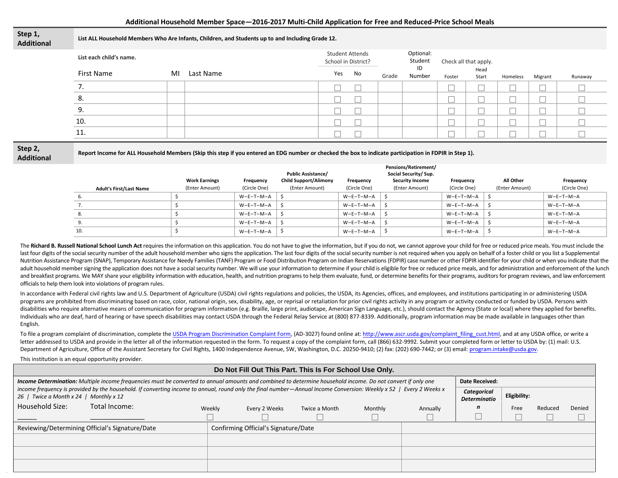#### **Additional Household Member Space—2016-2017 Multi-Child Application for Free and Reduced-Price School Meals**

| Step 1,<br><b>Additional</b> |                         |    | List ALL Household Members Who Are Infants, Children, and Students up to and Including Grade 12. |     |    |                      |                       |        |               |          |         |         |
|------------------------------|-------------------------|----|--------------------------------------------------------------------------------------------------|-----|----|----------------------|-----------------------|--------|---------------|----------|---------|---------|
|                              | List each child's name. |    | <b>Student Attends</b><br>School in District?                                                    |     |    | Optional:<br>Student | Check all that apply. |        |               |          |         |         |
|                              | First Name              | MI | Last Name                                                                                        | Yes | No | Grade                | ID<br>Number          | Foster | Head<br>Start | Homeless | Migrant | Runaway |
|                              | ,,                      |    |                                                                                                  |     |    |                      |                       |        |               |          |         |         |
|                              | 8.                      |    |                                                                                                  |     |    |                      |                       |        |               |          |         |         |
|                              | 9.                      |    |                                                                                                  |     |    |                      |                       |        |               |          |         |         |
|                              | 10.                     |    |                                                                                                  |     |    |                      |                       |        |               |          |         |         |
|                              | 11.                     |    |                                                                                                  |     |    |                      |                       |        |               |          |         |         |

**Report Income for ALL Household Members (Skip this step if you entered an EDG number or checked the box to indicate participation in FDPIR in Step 1).**

|                                | <b>Work Earnings</b> | Frequency    | <b>Public Assistance/</b><br><b>Child Support/Alimony</b> | Frequency    | Pensions/Retirement/<br>Social Security/ Sup.<br><b>Security Income</b> | Frequency    | All Other      | Frequency    |
|--------------------------------|----------------------|--------------|-----------------------------------------------------------|--------------|-------------------------------------------------------------------------|--------------|----------------|--------------|
| <b>Adult's First/Last Name</b> | (Enter Amount)       | (Circle One) | (Enter Amount)                                            | (Circle One) | (Enter Amount)                                                          | (Circle One) | (Enter Amount) | (Circle One) |
|                                |                      | $W-F-T-M-A$  |                                                           | W-E-T-M-A    |                                                                         | $W-E-T-M-A$  |                | $W-E-T-M-A$  |
|                                |                      | W-E-T-M-A    |                                                           | W-E-T-M-A    |                                                                         | $W-E-T-M-A$  |                | $W-E-T-M-A$  |
|                                |                      | $W-F-T-M-A$  |                                                           | $W-E-T-M-A$  |                                                                         | $W-E-T-M-A$  |                | $W-E-T-M-A$  |
|                                |                      | $W-F-T-M-A$  |                                                           | W-E-T-M-A S  |                                                                         | $W-E-T-M-A$  |                | $W-E-T-M-A$  |
| 10.                            |                      | $W-F-T-M-A$  |                                                           | $W-E-T-M-A$  |                                                                         | $W-E-T-M-A$  |                | $W-E-T-M-A$  |

The Richard B. Russell National School Lunch Act requires the information on this application. You do not have to give the information, but if you do not, we cannot approve your child for free or reduced price meals. You m last four digits of the social security number of the adult household member who signs the application. The last four digits of the social security number is not required when you apply on behalf of a foster child or you l Nutrition Assistance Program (SNAP), Temporary Assistance for Needy Families (TANF) Program or Food Distribution Program on Indian Reservations (FDPIR) case number or other FDPIR identifier for your child or when you indic adult household member signing the application does not have a social security number. We will use your information to determine if your child is eligible for free or reduced price meals, and for administration and enforce and breakfast programs. We MAY share your eligibility information with education, health, and nutrition programs to help them evaluate, fund, or determine benefits for their programs, auditors for program reviews, and law officials to help them look into violations of program rules.

In accordance with Federal civil rights law and U.S. Department of Agriculture (USDA) civil rights regulations and policies, the USDA, its Agencies, offices, and employees, and institutions participating in or administerin programs are prohibited from discriminating based on race, color, national origin, sex, disability, age, or reprisal or retaliation for prior civil rights activity in any program or activity conducted or funded by USDA. Pe disabilities who require alternative means of communication for program information (e.g. Braille, large print, audiotape, American Sign Language, etc.), should contact the Agency (State or local) where they applied for be Individuals who are deaf, hard of hearing or have speech disabilities may contact USDA through the Federal Relay Service at (800) 877-8339. Additionally, program information may be made available in languages other than English.

To file a program complaint of discrimination, complete th[e USDA Program Discrimination Complaint Form,](http://www.ocio.usda.gov/sites/default/files/docs/2012/Complain_combined_6_8_12.pdf) (AD-3027) found online at[: http://www.ascr.usda.gov/complaint\\_filing\\_cust.html,](http://www.ascr.usda.gov/complaint_filing_cust.html) and at any USDA office, or write a letter addressed to USDA and provide in the letter all of the information requested in the form. To request a copy of the complaint form, call (866) 632-9992. Submit your completed form or letter to USDA by: (1) mail: U.S. Department of Agriculture, Office of the Assistant Secretary for Civil Rights, 1400 Independence Avenue, SW, Washington, D.C. 20250-9410; (2) fax: (202) 690-7442; or (3) email[: program.intake@usda.gov.](mailto:program.intake@usda.gov)

This institution is an equal opportunity provider.

| Do Not Fill Out This Part. This Is For School Use Only.                                                                                                                                                      |                                      |               |         |          |                                    |              |         |        |
|--------------------------------------------------------------------------------------------------------------------------------------------------------------------------------------------------------------|--------------------------------------|---------------|---------|----------|------------------------------------|--------------|---------|--------|
| Income Determination: Multiple income frequencies must be converted to annual amounts and combined to determine household income. Do not convert if only one<br><b>Date Received:</b>                        |                                      |               |         |          |                                    |              |         |        |
| income frequency is provided by the household. If converting income to annual, round only the final number—Annual Income Conversion: Weekly x 52   Every 2 Weeks x<br>26   Twice a Month x 24   Monthly x 12 |                                      |               |         |          | Categorical<br><b>Determinatio</b> | Eligibility: |         |        |
| Household Size:<br>Total Income:                                                                                                                                                                             | Weekly<br>Every 2 Weeks              | Twice a Month | Monthly | Annually | n                                  | Free         | Reduced | Denied |
|                                                                                                                                                                                                              |                                      |               |         |          |                                    |              |         |        |
| Reviewing/Determining Official's Signature/Date                                                                                                                                                              | Confirming Official's Signature/Date |               |         |          |                                    |              |         |        |
|                                                                                                                                                                                                              |                                      |               |         |          |                                    |              |         |        |
|                                                                                                                                                                                                              |                                      |               |         |          |                                    |              |         |        |
|                                                                                                                                                                                                              |                                      |               |         |          |                                    |              |         |        |

**Step 2, Additional**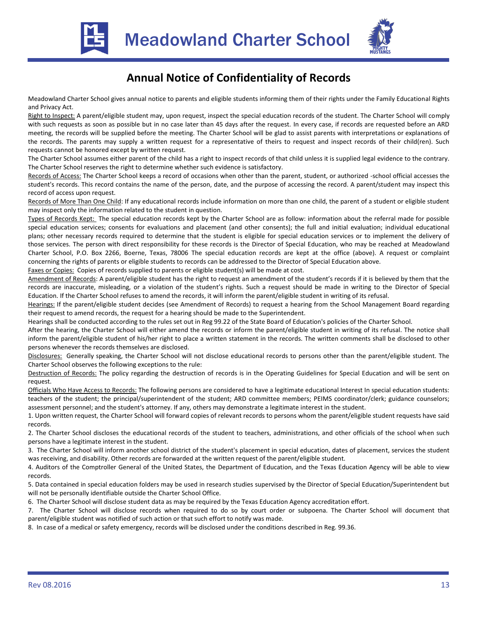



## **Annual Notice of Confidentiality of Records**

Meadowland Charter School gives annual notice to parents and eligible students informing them of their rights under the Family Educational Rights and Privacy Act.

Right to Inspect: A parent/eligible student may, upon request, inspect the special education records of the student. The Charter School will comply with such requests as soon as possible but in no case later than 45 days after the request. In every case, if records are requested before an ARD meeting, the records will be supplied before the meeting. The Charter School will be glad to assist parents with interpretations or explanations of the records. The parents may supply a written request for a representative of theirs to request and inspect records of their child(ren). Such requests cannot be honored except by written request.

The Charter School assumes either parent of the child has a right to inspect records of that child unless it is supplied legal evidence to the contrary. The Charter School reserves the right to determine whether such evidence is satisfactory.

Records of Access: The Charter School keeps a record of occasions when other than the parent, student, or authorized -school official accesses the student's records. This record contains the name of the person, date, and the purpose of accessing the record. A parent/student may inspect this record of access upon request.

Records of More Than One Child: If any educational records include information on more than one child, the parent of a student or eligible student may inspect only the information related to the student in question.

Types of Records Kept: The special education records kept by the Charter School are as follow: information about the referral made for possible special education services; consents for evaluations and placement (and other consents); the full and initial evaluation; individual educational plans; other necessary records required to determine that the student is eligible for special education services or to implement the delivery of those services. The person with direct responsibility for these records is the Director of Special Education, who may be reached at Meadowland Charter School, P.O. Box 2266, Boerne, Texas, 78006 The special education records are kept at the office (above). A request or complaint concerning the rights of parents or eligible students to records can be addressed to the Director of Special Education above.

Faxes or Copies: Copies of records supplied to parents or eligible student(s) will be made at cost.

Amendment of Records: A parent/eligible student has the right to request an amendment of the student's records if it is believed by them that the records are inaccurate, misleading, or a violation of the student's rights. Such a request should be made in writing to the Director of Special Education. If the Charter School refuses to amend the records, it will inform the parent/eligible student in writing of its refusal.

Hearings: If the parent/eligible student decides (see Amendment of Records) to request a hearing from the School Management Board regarding their request to amend records, the request for a hearing should be made to the Superintendent.

Hearings shall be conducted according to the rules set out in Reg 99.22 of the State Board of Education's policies of the Charter School.

After the hearing, the Charter School will either amend the records or inform the parent/eligible student in writing of its refusal. The notice shall inform the parent/eligible student of his/her right to place a written statement in the records. The written comments shall be disclosed to other persons whenever the records themselves are disclosed.

Disclosures: Generally speaking, the Charter School will not disclose educational records to persons other than the parent/eligible student. The Charter School observes the following exceptions to the rule:

Destruction of Records: The policy regarding the destruction of records is in the Operating Guidelines for Special Education and will be sent on request.

Officials Who Have Access to Records: The following persons are considered to have a legitimate educational Interest In special education students: teachers of the student; the principal/superintendent of the student; ARD committee members; PEIMS coordinator/clerk; guidance counselors; assessment personnel; and the student's attorney. If any, others may demonstrate a legitimate interest in the student.

1. Upon written request, the Charter School will forward copies of relevant records to persons whom the parent/eligible student requests have said records.

2. The Charter School discloses the educational records of the student to teachers, administrations, and other officials of the school when such persons have a legitimate interest in the student.

3. The Charter School will inform another school district of the student's placement in special education, dates of placement, services the student was receiving, and disability. Other records are forwarded at the written request of the parent/eligible student.

4. Auditors of the Comptroller General of the United States, the Department of Education, and the Texas Education Agency will be able to view records.

5. Data contained in special education folders may be used in research studies supervised by the Director of Special Education/Superintendent but will not be personally identifiable outside the Charter School Office.

6. The Charter School will disclose student data as may be required by the Texas Education Agency accreditation effort.

7. The Charter School will disclose records when required to do so by court order or subpoena. The Charter School will document that parent/eligible student was notified of such action or that such effort to notify was made.

8. In case of a medical or safety emergency, records will be disclosed under the conditions described in Reg. 99.36.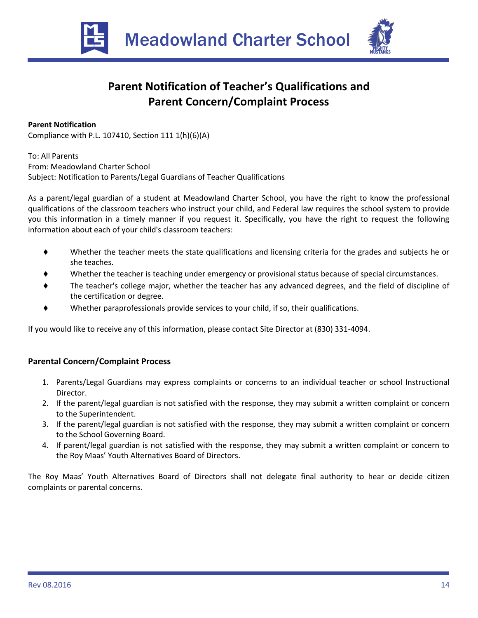



# **Parent Notification of Teacher's Qualifications and Parent Concern/Complaint Process**

## **Parent Notification**

Compliance with P.L. 107410, Section 111 1(h)(6)(A)

To: All Parents From: Meadowland Charter School Subject: Notification to Parents/Legal Guardians of Teacher Qualifications

As a parent/legal guardian of a student at Meadowland Charter School, you have the right to know the professional qualifications of the classroom teachers who instruct your child, and Federal law requires the school system to provide you this information in a timely manner if you request it. Specifically, you have the right to request the following information about each of your child's classroom teachers:

- Whether the teacher meets the state qualifications and licensing criteria for the grades and subjects he or she teaches.
- Whether the teacher is teaching under emergency or provisional status because of special circumstances.
- The teacher's college major, whether the teacher has any advanced degrees, and the field of discipline of the certification or degree.
- Whether paraprofessionals provide services to your child, if so, their qualifications.

If you would like to receive any of this information, please contact Site Director at (830) 331-4094.

## **Parental Concern/Complaint Process**

- 1. Parents/Legal Guardians may express complaints or concerns to an individual teacher or school Instructional Director.
- 2. If the parent/legal guardian is not satisfied with the response, they may submit a written complaint or concern to the Superintendent.
- 3. If the parent/legal guardian is not satisfied with the response, they may submit a written complaint or concern to the School Governing Board.
- 4. If parent/legal guardian is not satisfied with the response, they may submit a written complaint or concern to the Roy Maas' Youth Alternatives Board of Directors.

The Roy Maas' Youth Alternatives Board of Directors shall not delegate final authority to hear or decide citizen complaints or parental concerns.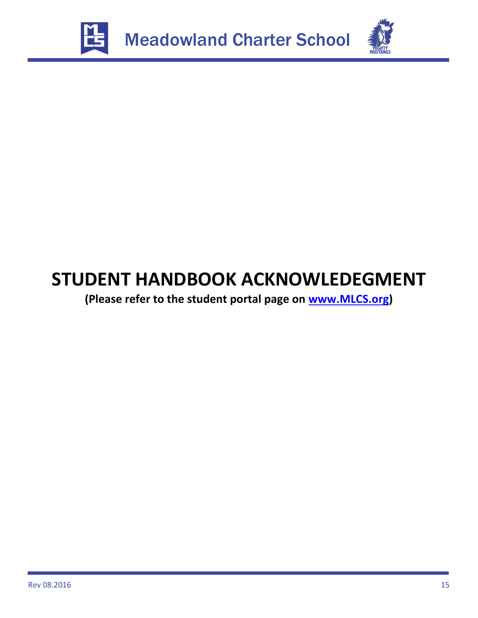



# **STUDENT HANDBOOK ACKNOWLEDEGMENT**

**(Please refer to the student portal page on [www.MLCS.org\)](http://www.mlcs.org/)**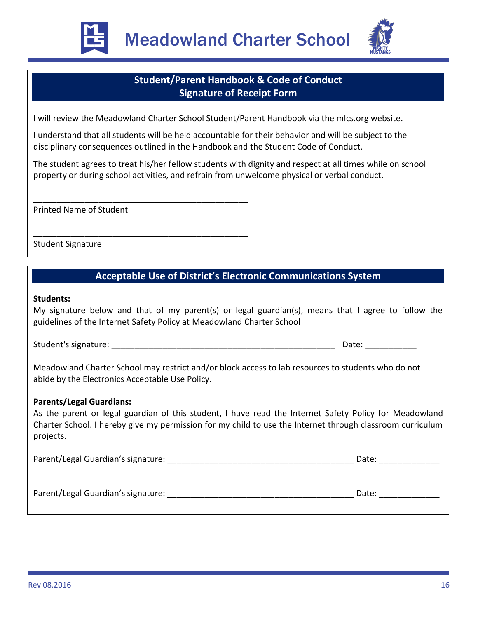



## **Student/Parent Handbook & Code of Conduct Signature of Receipt Form**

I will review the Meadowland Charter School Student/Parent Handbook via the mlcs.org website.

I understand that all students will be held accountable for their behavior and will be subject to the disciplinary consequences outlined in the Handbook and the Student Code of Conduct.

The student agrees to treat his/her fellow students with dignity and respect at all times while on school property or during school activities, and refrain from unwelcome physical or verbal conduct.

Printed Name of Student

\_\_\_\_\_\_\_\_\_\_\_\_\_\_\_\_\_\_\_\_\_\_\_\_\_\_\_\_\_\_\_\_\_\_\_\_\_\_\_\_\_\_\_\_\_\_

\_\_\_\_\_\_\_\_\_\_\_\_\_\_\_\_\_\_\_\_\_\_\_\_\_\_\_\_\_\_\_\_\_\_\_\_\_\_\_\_\_\_\_\_\_\_

Student Signature

# \_\_\_\_\_\_\_\_\_\_\_\_\_\_\_\_\_\_\_\_\_\_\_\_\_\_\_\_\_\_\_\_\_\_\_\_\_\_\_\_\_\_\_\_\_\_ **Acceptable Use of District's Electronic Communications System**

## **Students:**

My signature below and that of my parent(s) or legal guardian(s), means that I agree to follow the guidelines of the Internet Safety Policy at Meadowland Charter School

Student's signature: \_\_\_\_\_\_\_\_\_\_\_\_\_\_\_\_\_\_\_\_\_\_\_\_\_\_\_\_\_\_\_\_\_\_\_\_\_\_\_\_\_\_\_\_\_\_\_\_ Date: \_\_\_\_\_\_\_\_\_\_\_

Meadowland Charter School may restrict and/or block access to lab resources to students who do not abide by the Electronics Acceptable Use Policy.

## **Parents/Legal Guardians:**

As the parent or legal guardian of this student, I have read the Internet Safety Policy for Meadowland Charter School. I hereby give my permission for my child to use the Internet through classroom curriculum projects.

| Parent/Legal Guardian's signature: |  | Date: |
|------------------------------------|--|-------|
|------------------------------------|--|-------|

Parent/Legal Guardian's signature: \_\_\_\_\_\_\_\_\_\_\_\_\_\_\_\_\_\_\_\_\_\_\_\_\_\_\_\_\_\_\_\_\_\_\_\_\_\_\_\_ Date: \_\_\_\_\_\_\_\_\_\_\_\_\_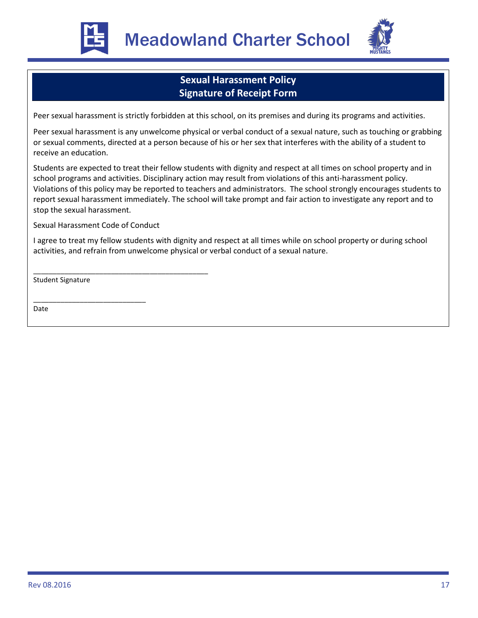



## **Sexual Harassment Policy Signature of Receipt Form**

Peer sexual harassment is strictly forbidden at this school, on its premises and during its programs and activities.

Peer sexual harassment is any unwelcome physical or verbal conduct of a sexual nature, such as touching or grabbing or sexual comments, directed at a person because of his or her sex that interferes with the ability of a student to receive an education.

Students are expected to treat their fellow students with dignity and respect at all times on school property and in school programs and activities. Disciplinary action may result from violations of this anti-harassment policy. Violations of this policy may be reported to teachers and administrators. The school strongly encourages students to report sexual harassment immediately. The school will take prompt and fair action to investigate any report and to stop the sexual harassment.

Sexual Harassment Code of Conduct

\_\_\_\_\_\_\_\_\_\_\_\_\_\_\_\_\_\_\_\_\_\_\_\_\_\_\_\_\_

\_\_\_\_\_\_\_\_\_\_\_\_\_\_\_\_\_\_\_\_\_\_\_\_\_\_\_\_\_\_\_\_\_\_\_\_\_\_\_\_\_\_\_\_\_

I agree to treat my fellow students with dignity and respect at all times while on school property or during school activities, and refrain from unwelcome physical or verbal conduct of a sexual nature.

Student Signature

Date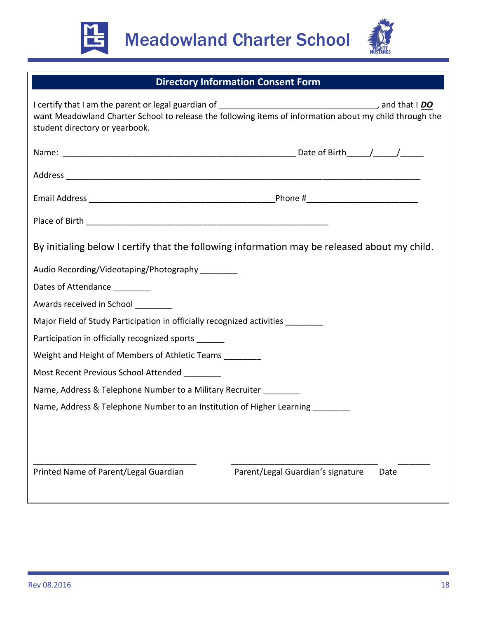



# **Directory Information Consent Form**

| student directory or yearbook.                                                               | want Meadowland Charter School to release the following items of information about my child through the |  |  |  |  |
|----------------------------------------------------------------------------------------------|---------------------------------------------------------------------------------------------------------|--|--|--|--|
|                                                                                              |                                                                                                         |  |  |  |  |
|                                                                                              |                                                                                                         |  |  |  |  |
|                                                                                              |                                                                                                         |  |  |  |  |
|                                                                                              |                                                                                                         |  |  |  |  |
| By initialing below I certify that the following information may be released about my child. |                                                                                                         |  |  |  |  |
| Audio Recording/Videotaping/Photography _______                                              |                                                                                                         |  |  |  |  |
| Dates of Attendance                                                                          |                                                                                                         |  |  |  |  |
| Awards received in School ________                                                           |                                                                                                         |  |  |  |  |
| Major Field of Study Participation in officially recognized activities ________              |                                                                                                         |  |  |  |  |
| Participation in officially recognized sports ______                                         |                                                                                                         |  |  |  |  |
| Weight and Height of Members of Athletic Teams ________                                      |                                                                                                         |  |  |  |  |
| Most Recent Previous School Attended ________                                                |                                                                                                         |  |  |  |  |
| Name, Address & Telephone Number to a Military Recruiter ________                            |                                                                                                         |  |  |  |  |
| Name, Address & Telephone Number to an Institution of Higher Learning _________              |                                                                                                         |  |  |  |  |
|                                                                                              |                                                                                                         |  |  |  |  |
|                                                                                              |                                                                                                         |  |  |  |  |
| Printed Name of Parent/Legal Guardian                                                        | Parent/Legal Guardian's signature<br>Date                                                               |  |  |  |  |